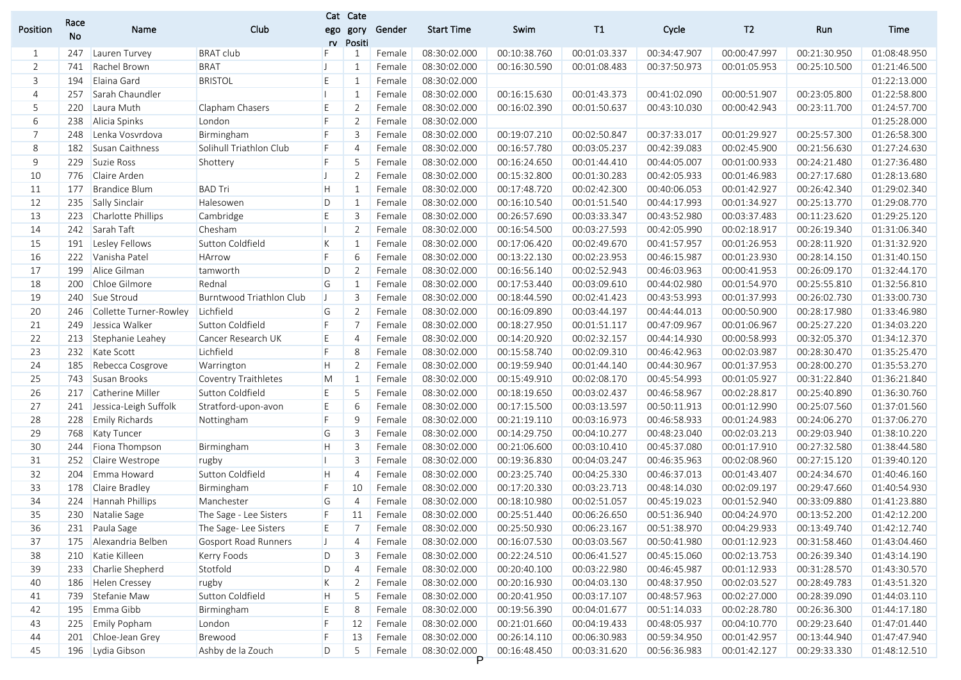|                | Race |                           |                             |              | Cat Cate       |        |                   |              |              |              |                |              |              |
|----------------|------|---------------------------|-----------------------------|--------------|----------------|--------|-------------------|--------------|--------------|--------------|----------------|--------------|--------------|
| Position       | No   | Name                      | Club                        | ego<br>rv    | gory<br>Positi | Gender | <b>Start Time</b> | Swim         | T1           | Cycle        | T <sub>2</sub> | Run          | Time         |
| 1              | 247  | Lauren Turvey             | <b>BRAT club</b>            | F            | 1              | Female | 08:30:02.000      | 00:10:38.760 | 00:01:03.337 | 00:34:47.907 | 00:00:47.997   | 00:21:30.950 | 01:08:48.950 |
| $\overline{2}$ | 741  | Rachel Brown              | <b>BRAT</b>                 | IJ           |                | Female | 08:30:02.000      | 00:16:30.590 | 00:01:08.483 | 00:37:50.973 | 00:01:05.953   | 00:25:10.500 | 01:21:46.500 |
| 3              | 194  | Elaina Gard               | <b>BRISTOL</b>              | E            | 1              | Female | 08:30:02.000      |              |              |              |                |              | 01:22:13.000 |
| $\overline{4}$ | 257  | Sarah Chaundler           |                             | H.           |                | Female | 08:30:02.000      | 00:16:15.630 | 00:01:43.373 | 00:41:02.090 | 00:00:51.907   | 00:23:05.800 | 01:22:58.800 |
| 5              | 220  | Laura Muth                | Clapham Chasers             | E            | $\overline{2}$ | Female | 08:30:02.000      | 00:16:02.390 | 00:01:50.637 | 00:43:10.030 | 00:00:42.943   | 00:23:11.700 | 01:24:57.700 |
| 6              | 238  | Alicia Spinks             | London                      | F            | $\overline{2}$ | Female | 08:30:02.000      |              |              |              |                |              | 01:25:28.000 |
| $\overline{7}$ | 248  | Lenka Vosvrdova           | Birmingham                  | F            | 3              | Female | 08:30:02.000      | 00:19:07.210 | 00:02:50.847 | 00:37:33.017 | 00:01:29.927   | 00:25:57.300 | 01:26:58.300 |
| 8              | 182  | Susan Caithness           | Solihull Triathlon Club     | F            |                | Female | 08:30:02.000      | 00:16:57.780 | 00:03:05.237 | 00:42:39.083 | 00:02:45.900   | 00:21:56.630 | 01:27:24.630 |
| 9              | 229  | Suzie Ross                | Shottery                    | F            |                | Female | 08:30:02.000      | 00:16:24.650 | 00:01:44.410 | 00:44:05.007 | 00:01:00.933   | 00:24:21.480 | 01:27:36.480 |
| 10             | 776  | Claire Arden              |                             | IJ           | $\overline{2}$ | Female | 08:30:02.000      | 00:15:32.800 | 00:01:30.283 | 00:42:05.933 | 00:01:46.983   | 00:27:17.680 | 01:28:13.680 |
| 11             | 177  | <b>Brandice Blum</b>      | <b>BAD Tri</b>              | H            | -1             | Female | 08:30:02.000      | 00:17:48.720 | 00:02:42.300 | 00:40:06.053 | 00:01:42.927   | 00:26:42.340 | 01:29:02.340 |
| 12             | 235  | Sally Sinclair            | Halesowen                   | D            | -1             | Female | 08:30:02.000      | 00:16:10.540 | 00:01:51.540 | 00:44:17.993 | 00:01:34.927   | 00:25:13.770 | 01:29:08.770 |
| 13             | 223  | <b>Charlotte Phillips</b> | Cambridge                   | E            | 3              | Female | 08:30:02.000      | 00:26:57.690 | 00:03:33.347 | 00:43:52.980 | 00:03:37.483   | 00:11:23.620 | 01:29:25.120 |
| 14             | 242  | Sarah Taft                | Chesham                     | H.           | 2              | Female | 08:30:02.000      | 00:16:54.500 | 00:03:27.593 | 00:42:05.990 | 00:02:18.917   | 00:26:19.340 | 01:31:06.340 |
| 15             | 191  | Lesley Fellows            | Sutton Coldfield            | K            | -1             | Female | 08:30:02.000      | 00:17:06.420 | 00:02:49.670 | 00:41:57.957 | 00:01:26.953   | 00:28:11.920 | 01:31:32.920 |
| 16             | 222  | Vanisha Patel             | <b>HArrow</b>               | F            | 6              | Female | 08:30:02.000      | 00:13:22.130 | 00:02:23.953 | 00:46:15.987 | 00:01:23.930   | 00:28:14.150 | 01:31:40.150 |
| 17             | 199  | Alice Gilman              | tamworth                    | D            | 2              | Female | 08:30:02.000      | 00:16:56.140 | 00:02:52.943 | 00:46:03.963 | 00:00:41.953   | 00:26:09.170 | 01:32:44.170 |
| 18             | 200  | Chloe Gilmore             | Rednal                      | G            | -1             | Female | 08:30:02.000      | 00:17:53.440 | 00:03:09.610 | 00:44:02.980 | 00:01:54.970   | 00:25:55.810 | 01:32:56.810 |
| 19             | 240  | Sue Stroud                | Burntwood Triathlon Club    | $\mathsf{U}$ | 3              | Female | 08:30:02.000      | 00:18:44.590 | 00:02:41.423 | 00:43:53.993 | 00:01:37.993   | 00:26:02.730 | 01:33:00.730 |
| 20             | 246  | Collette Turner-Rowley    | Lichfield                   | G            | $\overline{2}$ | Female | 08:30:02.000      | 00:16:09.890 | 00:03:44.197 | 00:44:44.013 | 00:00:50.900   | 00:28:17.980 | 01:33:46.980 |
| 21             | 249  | Jessica Walker            | Sutton Coldfield            | F            | 7              | Female | 08:30:02.000      | 00:18:27.950 | 00:01:51.117 | 00:47:09.967 | 00:01:06.967   | 00:25:27.220 | 01:34:03.220 |
| 22             | 213  | Stephanie Leahey          | Cancer Research UK          | E            | 4              | Female | 08:30:02.000      | 00:14:20.920 | 00:02:32.157 | 00:44:14.930 | 00:00:58.993   | 00:32:05.370 | 01:34:12.370 |
| 23             | 232  | Kate Scott                | Lichfield                   | F            | 8              | Female | 08:30:02.000      | 00:15:58.740 | 00:02:09.310 | 00:46:42.963 | 00:02:03.987   | 00:28:30.470 | 01:35:25.470 |
| 24             | 185  | Rebecca Cosgrove          | Warrington                  | H            | $\overline{2}$ | Female | 08:30:02.000      | 00:19:59.940 | 00:01:44.140 | 00:44:30.967 | 00:01:37.953   | 00:28:00.270 | 01:35:53.270 |
| 25             | 743  | Susan Brooks              | Coventry Traithletes        | M            | 1              | Female | 08:30:02.000      | 00:15:49.910 | 00:02:08.170 | 00:45:54.993 | 00:01:05.927   | 00:31:22.840 | 01:36:21.840 |
| 26             | 217  | Catherine Miller          | Sutton Coldfield            | E            | 5              | Female | 08:30:02.000      | 00:18:19.650 | 00:03:02.437 | 00:46:58.967 | 00:02:28.817   | 00:25:40.890 | 01:36:30.760 |
| 27             | 241  | Jessica-Leigh Suffolk     | Stratford-upon-avon         | E            | 6              | Female | 08:30:02.000      | 00:17:15.500 | 00:03:13.597 | 00:50:11.913 | 00:01:12.990   | 00:25:07.560 | 01:37:01.560 |
| 28             | 228  | <b>Emily Richards</b>     | Nottingham                  | F            | 9              | Female | 08:30:02.000      | 00:21:19.110 | 00:03:16.973 | 00:46:58.933 | 00:01:24.983   | 00:24:06.270 | 01:37:06.270 |
| 29             | 768  | <b>Katy Tuncer</b>        |                             | G            | 3              | Female | 08:30:02.000      | 00:14:29.750 | 00:04:10.277 | 00:48:23.040 | 00:02:03.213   | 00:29:03.940 | 01:38:10.220 |
| 30             | 244  | Fiona Thompson            | Birmingham                  | H            | 3              | Female | 08:30:02.000      | 00:21:06.600 | 00:03:10.410 | 00:45:37.080 | 00:01:17.910   | 00:27:32.580 | 01:38:44.580 |
| 31             | 252  | Claire Westrope           | rugby                       | п            | 3              | Female | 08:30:02.000      | 00:19:36.830 | 00:04:03.247 | 00:46:35.963 | 00:02:08.960   | 00:27:15.120 | 01:39:40.120 |
| 32             | 204  | Emma Howard               | Sutton Coldfield            | H            | $\overline{4}$ | Female | 08:30:02.000      | 00:23:25.740 | 00:04:25.330 | 00:46:37.013 | 00:01:43.407   | 00:24:34.670 | 01:40:46.160 |
| 33             | 178  | Claire Bradley            | Birmingham                  | F            | 10             | Female | 08:30:02.000      | 00:17:20.330 | 00:03:23.713 | 00:48:14.030 | 00:02:09.197   | 00:29:47.660 | 01:40:54.930 |
| 34             | 224  | Hannah Phillips           | Manchester                  | G            | $\overline{4}$ | Female | 08:30:02.000      | 00:18:10.980 | 00:02:51.057 | 00:45:19.023 | 00:01:52.940   | 00:33:09.880 | 01:41:23.880 |
| 35             |      | 230 Natalie Sage          | The Sage - Lee Sisters      | F            | 11             | Female | 08:30:02.000      | 00:25:51.440 | 00:06:26.650 | 00:51:36.940 | 00:04:24.970   | 00:13:52.200 | 01:42:12.200 |
| 36             |      | 231 Paula Sage            | The Sage-Lee Sisters        | E            | 7              | Female | 08:30:02.000      | 00:25:50.930 | 00:06:23.167 | 00:51:38.970 | 00:04:29.933   | 00:13:49.740 | 01:42:12.740 |
| 37             | 175  | Alexandria Belben         | <b>Gosport Road Runners</b> | $\mathsf{L}$ | 4              | Female | 08:30:02.000      | 00:16:07.530 | 00:03:03.567 | 00:50:41.980 | 00:01:12.923   | 00:31:58.460 | 01:43:04.460 |
| 38             |      | 210 Katie Killeen         | Kerry Foods                 | D            | 3              | Female | 08:30:02.000      | 00:22:24.510 | 00:06:41.527 | 00:45:15.060 | 00:02:13.753   | 00:26:39.340 | 01:43:14.190 |
| 39             | 233  | Charlie Shepherd          | Stotfold                    | D            | $\overline{4}$ | Female | 08:30:02.000      | 00:20:40.100 | 00:03:22.980 | 00:46:45.987 | 00:01:12.933   | 00:31:28.570 | 01:43:30.570 |
| 40             | 186  | Helen Cressey             | rugby                       | K            | $\overline{2}$ | Female | 08:30:02.000      | 00:20:16.930 | 00:04:03.130 | 00:48:37.950 | 00:02:03.527   | 00:28:49.783 | 01:43:51.320 |
| 41             |      | 739 Stefanie Maw          | Sutton Coldfield            | H            | 5              | Female | 08:30:02.000      | 00:20:41.950 | 00:03:17.107 | 00:48:57.963 | 00:02:27.000   | 00:28:39.090 | 01:44:03.110 |
| 42             | 195  | Emma Gibb                 | Birmingham                  | E            | 8              | Female | 08:30:02.000      | 00:19:56.390 | 00:04:01.677 | 00:51:14.033 | 00:02:28.780   | 00:26:36.300 | 01:44:17.180 |
| 43             | 225  | <b>Emily Popham</b>       | London                      | F            | 12             | Female | 08:30:02.000      | 00:21:01.660 | 00:04:19.433 | 00:48:05.937 | 00:04:10.770   | 00:29:23.640 | 01:47:01.440 |
| 44             | 201  | Chloe-Jean Grey           | Brewood                     | F            | 13             | Female | 08:30:02.000      | 00:26:14.110 | 00:06:30.983 | 00:59:34.950 | 00:01:42.957   | 00:13:44.940 | 01:47:47.940 |
| 45             |      | 196 Lydia Gibson          | Ashby de la Zouch           | D            | 5              | Female | 08:30:02.000      | 00:16:48.450 | 00:03:31.620 | 00:56:36.983 | 00:01:42.127   | 00:29:33.330 | 01:48:12.510 |